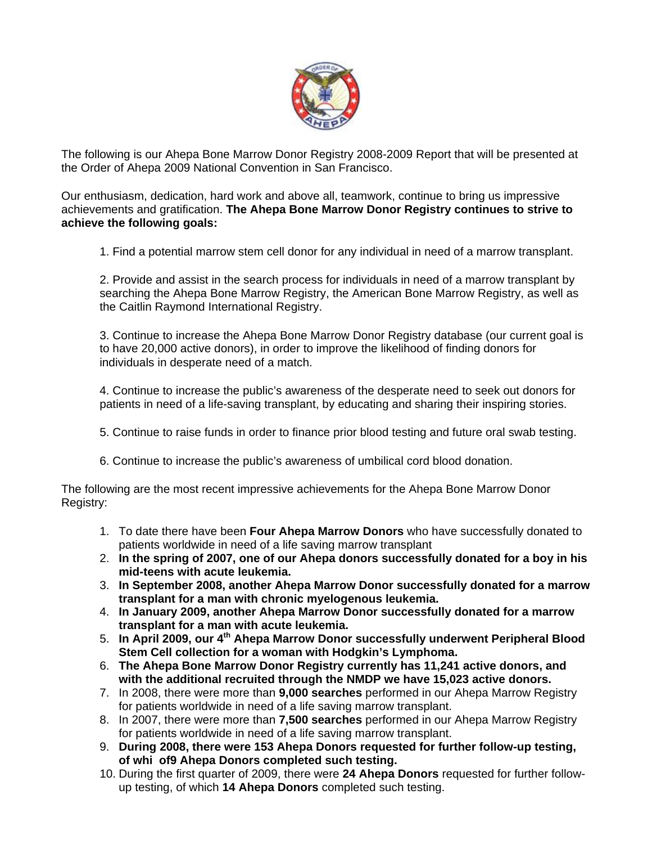

The following is our Ahepa Bone Marrow Donor Registry 2008-2009 Report that will be presented at the Order of Ahepa 2009 National Convention in San Francisco.

Our enthusiasm, dedication, hard work and above all, teamwork, continue to bring us impressive achievements and gratification. **The Ahepa Bone Marrow Donor Registry continues to strive to achieve the following goals:** 

1. Find a potential marrow stem cell donor for any individual in need of a marrow transplant.

2. Provide and assist in the search process for individuals in need of a marrow transplant by searching the Ahepa Bone Marrow Registry, the American Bone Marrow Registry, as well as the Caitlin Raymond International Registry.

3. Continue to increase the Ahepa Bone Marrow Donor Registry database (our current goal is to have 20,000 active donors), in order to improve the likelihood of finding donors for individuals in desperate need of a match.

4. Continue to increase the public's awareness of the desperate need to seek out donors for patients in need of a life-saving transplant, by educating and sharing their inspiring stories.

- 5. Continue to raise funds in order to finance prior blood testing and future oral swab testing.
- 6. Continue to increase the public's awareness of umbilical cord blood donation.

The following are the most recent impressive achievements for the Ahepa Bone Marrow Donor Registry:

- 1. To date there have been **Four Ahepa Marrow Donors** who have successfully donated to patients worldwide in need of a life saving marrow transplant
- 2. **In the spring of 2007, one of our Ahepa donors successfully donated for a boy in his mid-teens with acute leukemia.**
- 3. **In September 2008, another Ahepa Marrow Donor successfully donated for a marrow transplant for a man with chronic myelogenous leukemia.**
- 4. **In January 2009, another Ahepa Marrow Donor successfully donated for a marrow transplant for a man with acute leukemia.**
- 5. **In April 2009, our 4th Ahepa Marrow Donor successfully underwent Peripheral Blood Stem Cell collection for a woman with Hodgkin's Lymphoma.**
- 6. **The Ahepa Bone Marrow Donor Registry currently has 11,241 active donors, and with the additional recruited through the NMDP we have 15,023 active donors.**
- 7. In 2008, there were more than **9,000 searches** performed in our Ahepa Marrow Registry for patients worldwide in need of a life saving marrow transplant.
- 8. In 2007, there were more than **7,500 searches** performed in our Ahepa Marrow Registry for patients worldwide in need of a life saving marrow transplant.
- 9. **During 2008, there were 153 Ahepa Donors requested for further follow-up testing, of whi of9 Ahepa Donors completed such testing.**
- 10. During the first quarter of 2009, there were **24 Ahepa Donors** requested for further followup testing, of which **14 Ahepa Donors** completed such testing.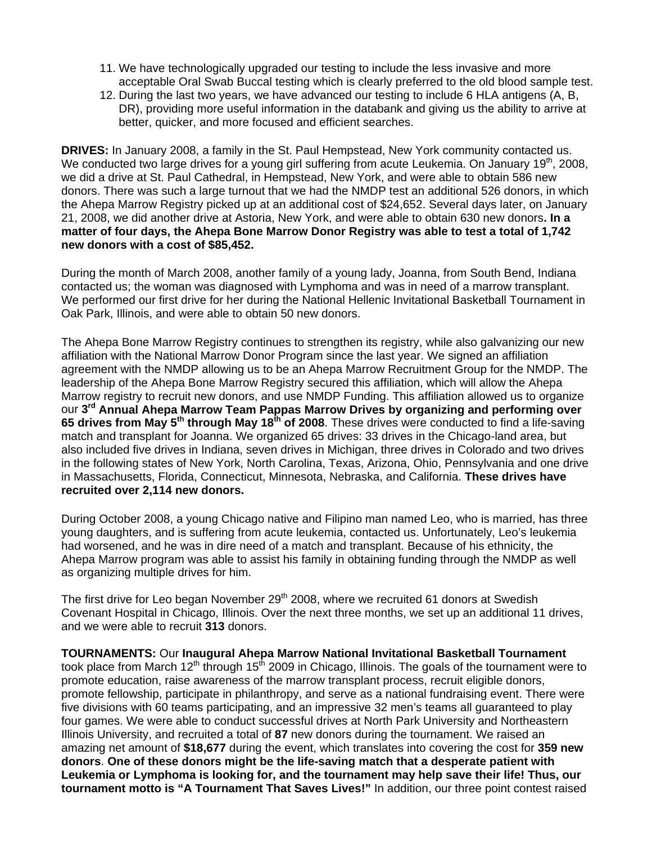- 11. We have technologically upgraded our testing to include the less invasive and more acceptable Oral Swab Buccal testing which is clearly preferred to the old blood sample test.
- 12. During the last two years, we have advanced our testing to include 6 HLA antigens (A, B, DR), providing more useful information in the databank and giving us the ability to arrive at better, quicker, and more focused and efficient searches.

**DRIVES:** In January 2008, a family in the St. Paul Hempstead, New York community contacted us. We conducted two large drives for a young girl suffering from acute Leukemia. On January 19<sup>th</sup>, 2008, we did a drive at St. Paul Cathedral, in Hempstead, New York, and were able to obtain 586 new donors. There was such a large turnout that we had the NMDP test an additional 526 donors, in which the Ahepa Marrow Registry picked up at an additional cost of \$24,652. Several days later, on January 21, 2008, we did another drive at Astoria, New York, and were able to obtain 630 new donors**. In a matter of four days, the Ahepa Bone Marrow Donor Registry was able to test a total of 1,742 new donors with a cost of \$85,452.** 

During the month of March 2008, another family of a young lady, Joanna, from South Bend, Indiana contacted us; the woman was diagnosed with Lymphoma and was in need of a marrow transplant. We performed our first drive for her during the National Hellenic Invitational Basketball Tournament in Oak Park, Illinois, and were able to obtain 50 new donors.

The Ahepa Bone Marrow Registry continues to strengthen its registry, while also galvanizing our new affiliation with the National Marrow Donor Program since the last year. We signed an affiliation agreement with the NMDP allowing us to be an Ahepa Marrow Recruitment Group for the NMDP. The leadership of the Ahepa Bone Marrow Registry secured this affiliation, which will allow the Ahepa Marrow registry to recruit new donors, and use NMDP Funding. This affiliation allowed us to organize our **3rd Annual Ahepa Marrow Team Pappas Marrow Drives by organizing and performing over 65 drives from May 5th through May 18th of 2008**. These drives were conducted to find a life-saving match and transplant for Joanna. We organized 65 drives: 33 drives in the Chicago-land area, but also included five drives in Indiana, seven drives in Michigan, three drives in Colorado and two drives in the following states of New York, North Carolina, Texas, Arizona, Ohio, Pennsylvania and one drive in Massachusetts, Florida, Connecticut, Minnesota, Nebraska, and California. **These drives have recruited over 2,114 new donors.** 

During October 2008, a young Chicago native and Filipino man named Leo, who is married, has three young daughters, and is suffering from acute leukemia, contacted us. Unfortunately, Leo's leukemia had worsened, and he was in dire need of a match and transplant. Because of his ethnicity, the Ahepa Marrow program was able to assist his family in obtaining funding through the NMDP as well as organizing multiple drives for him.

The first drive for Leo began November  $29<sup>th</sup>$  2008, where we recruited 61 donors at Swedish Covenant Hospital in Chicago, Illinois. Over the next three months, we set up an additional 11 drives, and we were able to recruit **313** donors.

**TOURNAMENTS:** Our **Inaugural Ahepa Marrow National Invitational Basketball Tournament** took place from March 12<sup>th</sup> through 15<sup>th</sup> 2009 in Chicago, Illinois. The goals of the tournament were to promote education, raise awareness of the marrow transplant process, recruit eligible donors, promote fellowship, participate in philanthropy, and serve as a national fundraising event. There were five divisions with 60 teams participating, and an impressive 32 men's teams all guaranteed to play four games. We were able to conduct successful drives at North Park University and Northeastern Illinois University, and recruited a total of **87** new donors during the tournament. We raised an amazing net amount of **\$18,677** during the event, which translates into covering the cost for **359 new donors**. **One of these donors might be the life-saving match that a desperate patient with Leukemia or Lymphoma is looking for, and the tournament may help save their life! Thus, our tournament motto is "A Tournament That Saves Lives!"** In addition, our three point contest raised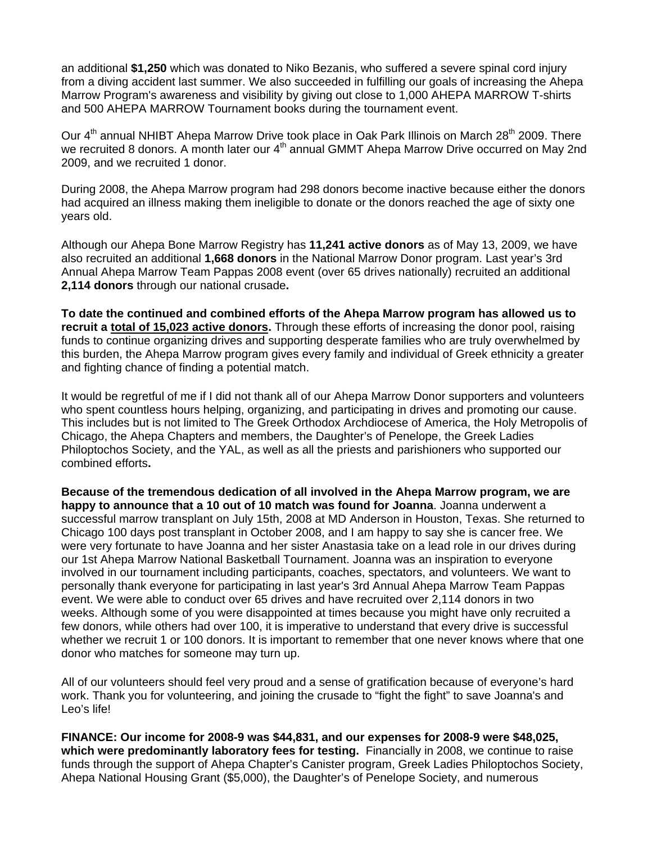an additional **\$1,250** which was donated to Niko Bezanis, who suffered a severe spinal cord injury from a diving accident last summer. We also succeeded in fulfilling our goals of increasing the Ahepa Marrow Program's awareness and visibility by giving out close to 1,000 AHEPA MARROW T-shirts and 500 AHEPA MARROW Tournament books during the tournament event.

Our  $4<sup>th</sup>$  annual NHIBT Ahepa Marrow Drive took place in Oak Park Illinois on March 28<sup>th</sup> 2009. There we recruited 8 donors. A month later our 4<sup>th</sup> annual GMMT Ahepa Marrow Drive occurred on May 2nd 2009, and we recruited 1 donor.

During 2008, the Ahepa Marrow program had 298 donors become inactive because either the donors had acquired an illness making them ineligible to donate or the donors reached the age of sixty one years old.

Although our Ahepa Bone Marrow Registry has **11,241 active donors** as of May 13, 2009, we have also recruited an additional **1,668 donors** in the National Marrow Donor program. Last year's 3rd Annual Ahepa Marrow Team Pappas 2008 event (over 65 drives nationally) recruited an additional **2,114 donors** through our national crusade**.** 

**To date the continued and combined efforts of the Ahepa Marrow program has allowed us to recruit a total of 15,023 active donors.** Through these efforts of increasing the donor pool, raising funds to continue organizing drives and supporting desperate families who are truly overwhelmed by this burden, the Ahepa Marrow program gives every family and individual of Greek ethnicity a greater and fighting chance of finding a potential match.

It would be regretful of me if I did not thank all of our Ahepa Marrow Donor supporters and volunteers who spent countless hours helping, organizing, and participating in drives and promoting our cause. This includes but is not limited to The Greek Orthodox Archdiocese of America, the Holy Metropolis of Chicago, the Ahepa Chapters and members, the Daughter's of Penelope, the Greek Ladies Philoptochos Society, and the YAL, as well as all the priests and parishioners who supported our combined efforts**.** 

**Because of the tremendous dedication of all involved in the Ahepa Marrow program, we are happy to announce that a 10 out of 10 match was found for Joanna**. Joanna underwent a successful marrow transplant on July 15th, 2008 at MD Anderson in Houston, Texas. She returned to Chicago 100 days post transplant in October 2008, and I am happy to say she is cancer free. We were very fortunate to have Joanna and her sister Anastasia take on a lead role in our drives during our 1st Ahepa Marrow National Basketball Tournament. Joanna was an inspiration to everyone involved in our tournament including participants, coaches, spectators, and volunteers. We want to personally thank everyone for participating in last year's 3rd Annual Ahepa Marrow Team Pappas event. We were able to conduct over 65 drives and have recruited over 2,114 donors in two weeks. Although some of you were disappointed at times because you might have only recruited a few donors, while others had over 100, it is imperative to understand that every drive is successful whether we recruit 1 or 100 donors. It is important to remember that one never knows where that one donor who matches for someone may turn up.

All of our volunteers should feel very proud and a sense of gratification because of everyone's hard work. Thank you for volunteering, and joining the crusade to "fight the fight" to save Joanna's and Leo's life!

**FINANCE: Our income for 2008-9 was \$44,831, and our expenses for 2008-9 were \$48,025, which were predominantly laboratory fees for testing.** Financially in 2008, we continue to raise funds through the support of Ahepa Chapter's Canister program, Greek Ladies Philoptochos Society, Ahepa National Housing Grant (\$5,000), the Daughter's of Penelope Society, and numerous